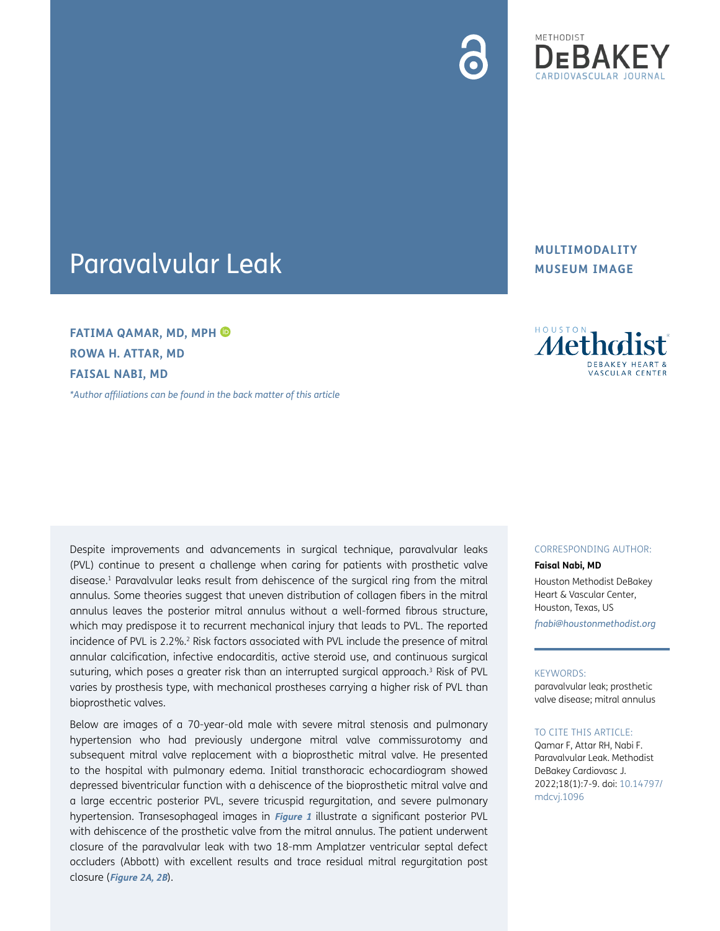

# Paravalvular Leak

**FATIMA QAMAR, MD, MPH ROWA H. ATTAR, MD FAISAL NABI, MD**

*[\\*Author affiliations can be found in the back matter of this article](#page-1-5)*

**MULTIMODALITY MUSEUM IMAGE**



Despite improvements and advancements in surgical technique, paravalvular leaks (PVL) continue to present a challenge when caring for patients with prosthetic valve disease.<sup>1</sup> Paravalvular leaks result from dehiscence of the surgical ring from the mitral annulus. Some theories suggest that uneven distribution of collagen fibers in the mitral annulus leaves the posterior mitral annulus without a well-formed fibrous structure, which may predispose it to recurrent mechanical injury that leads to PVL. The reported incidence of PVL is 2.2%.<sup>2</sup> Risk factors associated with PVL include the presence of mitral annular calcification, infective endocarditis, active steroid use, and continuous surgical suturing, which poses a greater risk than an interrupted surgical approach.<sup>[3](#page-1-2)</sup> Risk of PVL varies by prosthesis type, with mechanical prostheses carrying a higher risk of PVL than bioprosthetic valves.

Below are images of a 70-year-old male with severe mitral stenosis and pulmonary hypertension who had previously undergone mitral valve commissurotomy and subsequent mitral valve replacement with a bioprosthetic mitral valve. He presented to the hospital with pulmonary edema. Initial transthoracic echocardiogram showed depressed biventricular function with a dehiscence of the bioprosthetic mitral valve and a large eccentric posterior PVL, severe tricuspid regurgitation, and severe pulmonary hypertension. Transesophageal images in **[Figure 1](#page-1-3)** illustrate a significant posterior PVL with dehiscence of the prosthetic valve from the mitral annulus. The patient underwent closure of the paravalvular leak with two 18-mm Amplatzer ventricular septal defect occluders (Abbott) with excellent results and trace residual mitral regurgitation post closure (**[Figure 2A, 2B](#page-1-4)**).

#### CORRESPONDING AUTHOR:

**Faisal Nabi, MD**

Houston Methodist DeBakey Heart & Vascular Center, Houston, Texas, US *[fnabi@houstonmethodist.org](mailto:fnabi@houstonmethodist.org)*

#### KEYWORDS:

paravalvular leak; prosthetic valve disease; mitral annulus

#### TO CITE THIS ARTICLE:

Qamar F, Attar RH, Nabi F. Paravalvular Leak. Methodist DeBakey Cardiovasc J. 2022;18(1):7-9. doi: [10.14797/](https://doi.org/10.14797/mdcvj.1096) [mdcvj.1096](https://doi.org/10.14797/mdcvj.1096)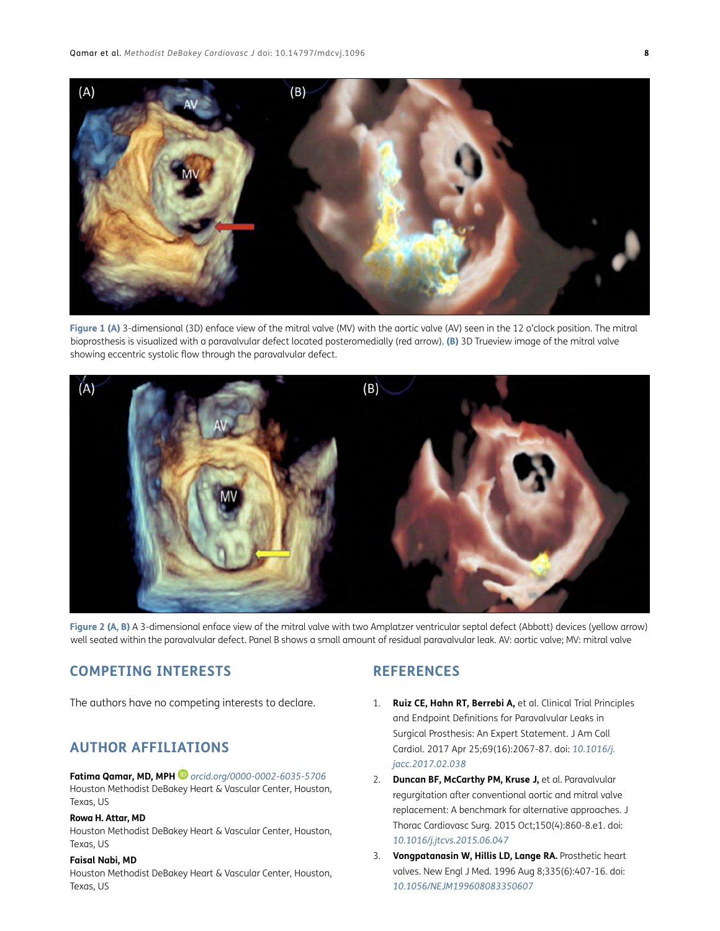

<span id="page-1-3"></span>**Figure 1 (A)** 3-dimensional (3D) enface view of the mitral valve (MV) with the aortic valve (AV) seen in the 12 o'clock position. The mitral bioprosthesis is visualized with a paravalvular defect located posteromedially (red arrow). **(B)** 3D Trueview image of the mitral valve showing eccentric systolic flow through the paravalvular defect.



**Figure 2 (A, B)** A 3-dimensional enface view of the mitral valve with two Amplatzer ventricular septal defect (Abbott) devices (yellow arrow) well seated within the paravalvular defect. Panel B shows a small amount of residual paravalvular leak. AV: aortic valve; MV: mitral valve

# <span id="page-1-4"></span>**COMPETING INTERESTS**

The authors have no competing interests to declare.

# <span id="page-1-5"></span>**AUTHOR AFFILIATIONS**

#### **Fatima Qamar, MD, MPH** *[orcid.org/0000-0002-6035-5706](https://orcid.org/0000-0002-6035-5706)*

Houston Methodist DeBakey Heart & Vascular Center, Houston, Texas, US

#### **Rowa H. Attar, MD**

Houston Methodist DeBakey Heart & Vascular Center, Houston, Texas, US

#### **Faisal Nabi, MD**

Houston Methodist DeBakey Heart & Vascular Center, Houston, Texas, US

### **REFERENCES**

- <span id="page-1-0"></span>1. **Ruiz CE, Hahn RT, Berrebi A,** et al. Clinical Trial Principles and Endpoint Definitions for Paravalvular Leaks in Surgical Prosthesis: An Expert Statement. J Am Coll Cardiol. 2017 Apr 25;69(16):2067-87. doi: *[10.1016/j.](https://doi.org/10.1016/j.jacc.2017.02.038) [jacc.2017.02.038](https://doi.org/10.1016/j.jacc.2017.02.038)*
- <span id="page-1-1"></span>2. **Duncan BF, McCarthy PM, Kruse J,** et al. Paravalvular regurgitation after conventional aortic and mitral valve replacement: A benchmark for alternative approaches. J Thorac Cardiovasc Surg. 2015 Oct;150(4):860-8.e1. doi: *[10.1016/j.jtcvs.2015.06.047](https://doi.org/10.1016/j.jtcvs.2015.06.047)*
- <span id="page-1-2"></span>3. **Vongpatanasin W, Hillis LD, Lange RA.** Prosthetic heart valves. New Engl J Med. 1996 Aug 8;335(6):407-16. doi: *[10.1056/NEJM199608083350607](https://doi.org/10.1056/NEJM199608083350607)*